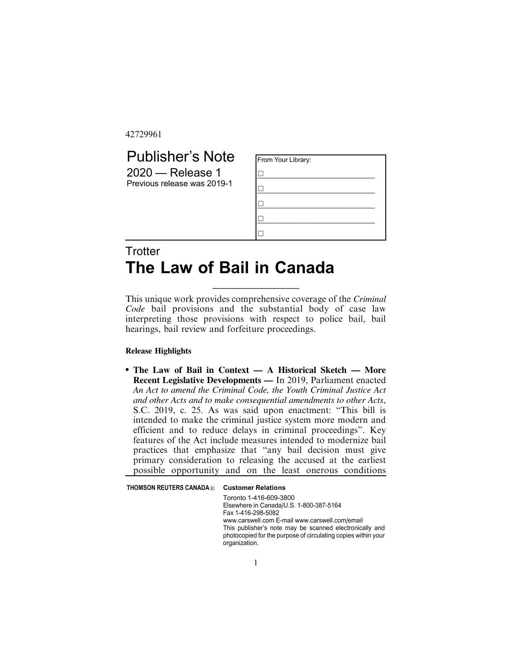42729961

## Publisher's Note 2020 — Release 1

Previous release was 2019-1

| From Your Library: |  |
|--------------------|--|
|                    |  |
|                    |  |
|                    |  |
|                    |  |
|                    |  |

## **Trotter The Law of Bail in Canada**

This unique work provides comprehensive coverage of the *Criminal Code* bail provisions and the substantial body of case law interpreting those provisions with respect to police bail, bail hearings, bail review and forfeiture proceedings.

\_\_\_\_\_\_\_\_\_\_\_\_\_\_\_\_\_\_\_

## **Release Highlights**

. **The Law of Bail in Context — A Historical Sketch — More Recent Legislative Developments —** In 2019, Parliament enacted *An Act to amend the Criminal Code, the Youth Criminal Justice Act and other Acts and to make consequential amendments to other Acts*, S.C. 2019, c. 25. As was said upon enactment: "This bill is intended to make the criminal justice system more modern and efficient and to reduce delays in criminal proceedings". Key features of the Act include measures intended to modernize bail practices that emphasize that "any bail decision must give primary consideration to releasing the accused at the earliest possible opportunity and on the least onerous conditions

| <b>THOMSON REUTERS CANADA®</b> | <b>Customer Relations</b>                                                                                                                                                                                                                                                              |  |
|--------------------------------|----------------------------------------------------------------------------------------------------------------------------------------------------------------------------------------------------------------------------------------------------------------------------------------|--|
|                                | Toronto 1-416-609-3800<br>Elsewhere in Canada/U.S. 1-800-387-5164<br>Fax 1-416-298-5082<br>www.carswell.com E-mail www.carswell.com/email<br>This publisher's note may be scanned electronically and<br>photocopied for the purpose of circulating copies within your<br>organization. |  |